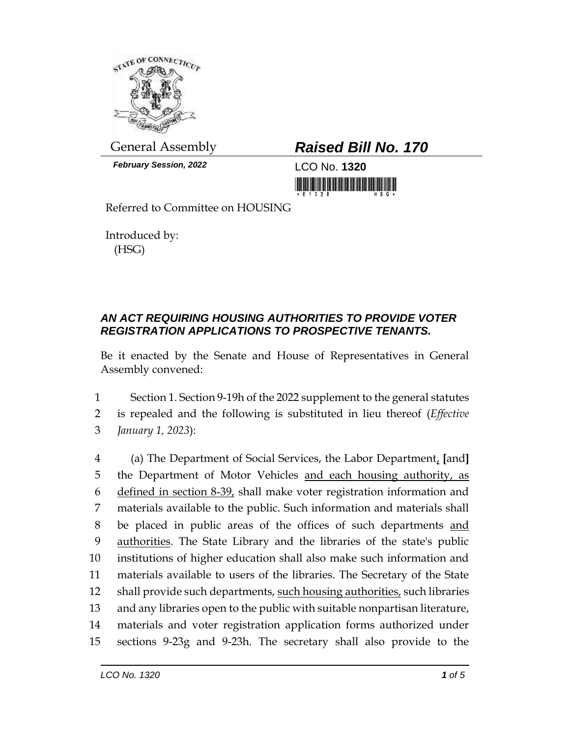

*February Session, 2022* LCO No. **1320**

## General Assembly *Raised Bill No. 170*

<u> 1999 - An Dùbhlachd Mhannaig, ann an Dùbhlachd Mhannaig ann an Dùbhlachd Mhannaig ann an Dùbhlachd Mhannaig a</u>

Referred to Committee on HOUSING

Introduced by: (HSG)

## *AN ACT REQUIRING HOUSING AUTHORITIES TO PROVIDE VOTER REGISTRATION APPLICATIONS TO PROSPECTIVE TENANTS.*

Be it enacted by the Senate and House of Representatives in General Assembly convened:

1 Section 1. Section 9-19h of the 2022 supplement to the general statutes 2 is repealed and the following is substituted in lieu thereof (*Effective*  3 *January 1, 2023*):

 (a) The Department of Social Services, the Labor Department, **[**and**]** 5 the Department of Motor Vehicles and each housing authority, as defined in section 8-39, shall make voter registration information and materials available to the public. Such information and materials shall be placed in public areas of the offices of such departments and authorities. The State Library and the libraries of the state's public institutions of higher education shall also make such information and materials available to users of the libraries. The Secretary of the State 12 shall provide such departments, such housing authorities, such libraries and any libraries open to the public with suitable nonpartisan literature, materials and voter registration application forms authorized under sections 9-23g and 9-23h. The secretary shall also provide to the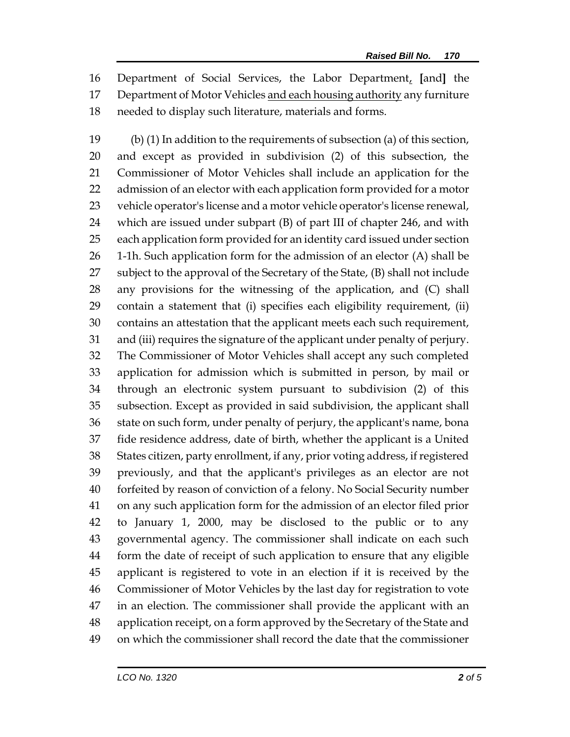Department of Social Services, the Labor Department, **[**and**]** the Department of Motor Vehicles and each housing authority any furniture needed to display such literature, materials and forms.

 (b) (1) In addition to the requirements of subsection (a) of this section, and except as provided in subdivision (2) of this subsection, the Commissioner of Motor Vehicles shall include an application for the admission of an elector with each application form provided for a motor vehicle operator's license and a motor vehicle operator's license renewal, which are issued under subpart (B) of part III of chapter 246, and with each application form provided for an identity card issued under section 26 1-1h. Such application form for the admission of an elector  $(A)$  shall be subject to the approval of the Secretary of the State, (B) shall not include any provisions for the witnessing of the application, and (C) shall contain a statement that (i) specifies each eligibility requirement, (ii) contains an attestation that the applicant meets each such requirement, and (iii) requires the signature of the applicant under penalty of perjury. The Commissioner of Motor Vehicles shall accept any such completed application for admission which is submitted in person, by mail or through an electronic system pursuant to subdivision (2) of this subsection. Except as provided in said subdivision, the applicant shall state on such form, under penalty of perjury, the applicant's name, bona fide residence address, date of birth, whether the applicant is a United States citizen, party enrollment, if any, prior voting address, if registered previously, and that the applicant's privileges as an elector are not forfeited by reason of conviction of a felony. No Social Security number on any such application form for the admission of an elector filed prior to January 1, 2000, may be disclosed to the public or to any governmental agency. The commissioner shall indicate on each such form the date of receipt of such application to ensure that any eligible applicant is registered to vote in an election if it is received by the Commissioner of Motor Vehicles by the last day for registration to vote in an election. The commissioner shall provide the applicant with an application receipt, on a form approved by the Secretary of the State and on which the commissioner shall record the date that the commissioner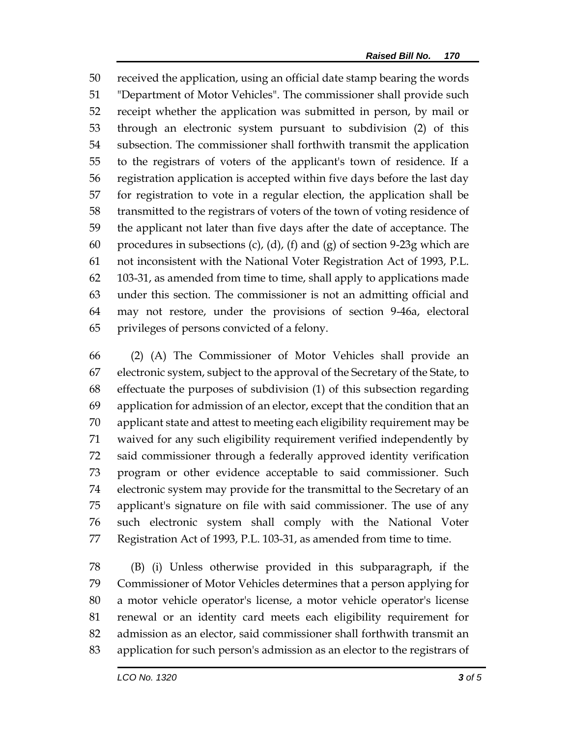received the application, using an official date stamp bearing the words "Department of Motor Vehicles". The commissioner shall provide such receipt whether the application was submitted in person, by mail or through an electronic system pursuant to subdivision (2) of this subsection. The commissioner shall forthwith transmit the application to the registrars of voters of the applicant's town of residence. If a registration application is accepted within five days before the last day for registration to vote in a regular election, the application shall be transmitted to the registrars of voters of the town of voting residence of the applicant not later than five days after the date of acceptance. The 60 procedures in subsections (c), (d), (f) and (g) of section 9-23g which are not inconsistent with the National Voter Registration Act of 1993, P.L. 103-31, as amended from time to time, shall apply to applications made under this section. The commissioner is not an admitting official and may not restore, under the provisions of section 9-46a, electoral privileges of persons convicted of a felony.

 (2) (A) The Commissioner of Motor Vehicles shall provide an electronic system, subject to the approval of the Secretary of the State, to effectuate the purposes of subdivision (1) of this subsection regarding application for admission of an elector, except that the condition that an applicant state and attest to meeting each eligibility requirement may be waived for any such eligibility requirement verified independently by said commissioner through a federally approved identity verification program or other evidence acceptable to said commissioner. Such electronic system may provide for the transmittal to the Secretary of an applicant's signature on file with said commissioner. The use of any such electronic system shall comply with the National Voter Registration Act of 1993, P.L. 103-31, as amended from time to time.

 (B) (i) Unless otherwise provided in this subparagraph, if the Commissioner of Motor Vehicles determines that a person applying for a motor vehicle operator's license, a motor vehicle operator's license renewal or an identity card meets each eligibility requirement for admission as an elector, said commissioner shall forthwith transmit an application for such person's admission as an elector to the registrars of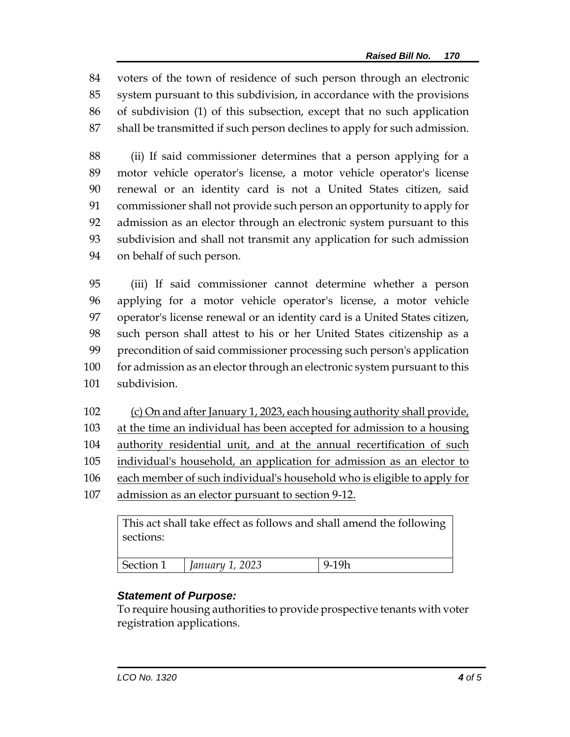voters of the town of residence of such person through an electronic system pursuant to this subdivision, in accordance with the provisions of subdivision (1) of this subsection, except that no such application shall be transmitted if such person declines to apply for such admission.

 (ii) If said commissioner determines that a person applying for a motor vehicle operator's license, a motor vehicle operator's license renewal or an identity card is not a United States citizen, said commissioner shall not provide such person an opportunity to apply for admission as an elector through an electronic system pursuant to this subdivision and shall not transmit any application for such admission on behalf of such person.

 (iii) If said commissioner cannot determine whether a person applying for a motor vehicle operator's license, a motor vehicle operator's license renewal or an identity card is a United States citizen, such person shall attest to his or her United States citizenship as a precondition of said commissioner processing such person's application 100 for admission as an elector through an electronic system pursuant to this subdivision.

 (c) On and after January 1, 2023, each housing authority shall provide, at the time an individual has been accepted for admission to a housing authority residential unit, and at the annual recertification of such 105 individual's household, an application for admission as an elector to each member of such individual's household who is eligible to apply for admission as an elector pursuant to section 9-12.

This act shall take effect as follows and shall amend the following sections:

| Costion<br>- מם ה | วกวจ<br>januai<br>$-0.40$ |  |
|-------------------|---------------------------|--|
|                   |                           |  |

## *Statement of Purpose:*

To require housing authorities to provide prospective tenants with voter registration applications.